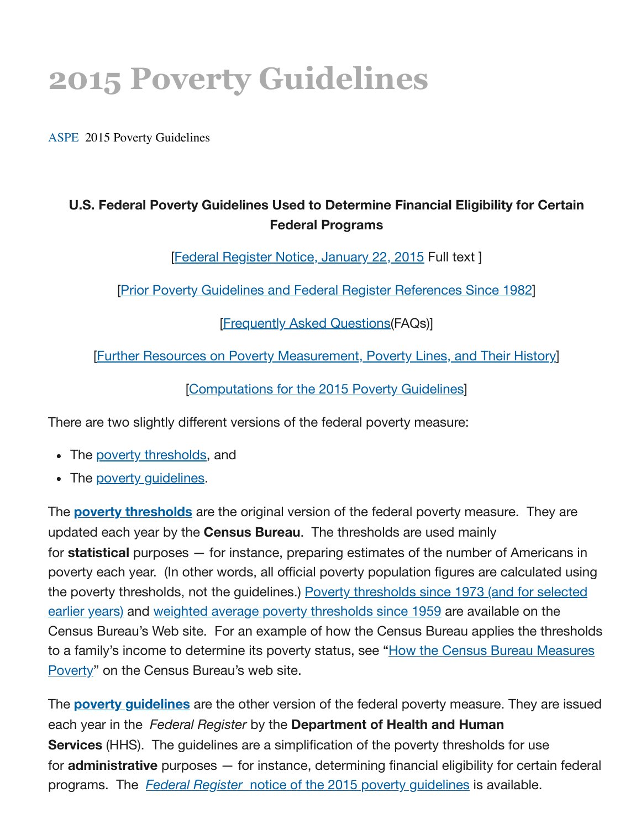# **2015 Poverty Guidelines**

[ASPE](https://www.aspe.hhs.gov/) 2015 Poverty Guidelines

### **U.S. Federal Poverty Guidelines Used to Determine Financial Eligibility for Certain Federal Programs**

[Federal [Register](http://www.federalregister.gov/a/2015-01120) Notice, January 22, 2015 Full text]

[Prior Poverty Guidelines and Federal Register [References](https://www.aspe.hhs.gov/prior-hhs-poverty-guidelines-and-federal-register-references) Since 1982]

[\[Frequently](https://www.aspe.hhs.gov/frequently-asked-questions-related-poverty-guidelines-and-poverty) Asked Questions(FAQs)]

[Further Resources on Poverty [Measurement,](https://www.aspe.hhs.gov/further-resources-poverty-measurement-poverty-lines-and-their-history) Poverty Lines, and Their History]

[\[Computations](https://www.aspe.hhs.gov/computations-2015-poverty-guidelines) for the 2015 Poverty Guidelines]

There are two slightly different versions of the federal poverty measure:

- The poverty [thresholds,](https://www.aspe.hhs.gov/2015-poverty-guidelines#threshholds) and
- The poverty quidelines.

The **poverty thresholds** are the original version of the federal poverty measure. They are updated each year by the **Census Bureau**. The thresholds are used mainly for **statistical** purposes — for instance, preparing estimates of the number of Americans in poverty each year. (In other words, all official poverty population figures are calculated using the poverty thresholds, not the [guidelines.\)](http://www.census.gov/hhes/www/poverty/data/threshld/index.html) Poverty thresholds since 1973 (and for selected earlier years) and weighted average poverty [thresholds](http://www.census.gov/hhes/www/poverty/data/historical/hstpov1.xls) since 1959 are available on the Census Bureau's Web site. For an example of how the Census Bureau applies the thresholds to a family's income to [determine](http://www.census.gov/hhes/www/poverty/about/overview/measure.html) its poverty status, see "How the Census Bureau Measures Poverty" on the Census Bureau's web site.

The **poverty guidelines** are the other version of the federal poverty measure. They are issued each year in the *Federal Register* by the **Department of Health and Human Services** (HHS). The guidelines are a simplification of the poverty thresholds for use for **administrative** purposes — for instance, determining financial eligibility for certain federal programs. The *Federal Register* notice of the 2015 poverty [guidelines](http://www.federalregister.gov/a/2015-01120) is available.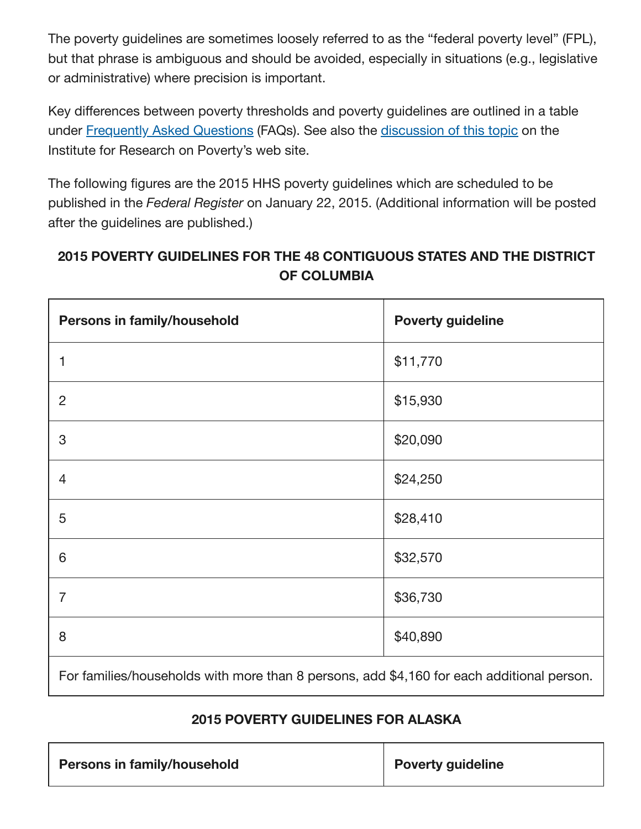The poverty guidelines are sometimes loosely referred to as the "federal poverty level" (FPL), but that phrase is ambiguous and should be avoided, especially in situations (e.g., legislative or administrative) where precision is important.

Key differences between poverty thresholds and poverty guidelines are outlined in a table under [Frequently](https://www.aspe.hhs.gov/frequently-asked-questions-related-poverty-guidelines-and-poverty#differences) Asked Questions (FAQs). See also the [discussion](http://www.irp.wisc.edu/faqs/faq1.htm) of this topic on the Institute for Research on Poverty's web site.

The following figures are the 2015 HHS poverty guidelines which are scheduled to be published in the *Federal Register* on January 22, 2015. (Additional information will be posted after the guidelines are published.)

### **2015 POVERTY GUIDELINES FOR THE 48 CONTIGUOUS STATES AND THE DISTRICT OF COLUMBIA**

| Persons in family/household                                                               | <b>Poverty guideline</b> |
|-------------------------------------------------------------------------------------------|--------------------------|
| 1                                                                                         | \$11,770                 |
| $\overline{2}$                                                                            | \$15,930                 |
| 3                                                                                         | \$20,090                 |
| 4                                                                                         | \$24,250                 |
| 5                                                                                         | \$28,410                 |
| 6                                                                                         | \$32,570                 |
| $\overline{7}$                                                                            | \$36,730                 |
| 8                                                                                         | \$40,890                 |
| For families/households with more than 8 persons, add \$4,160 for each additional person. |                          |

#### **2015 POVERTY GUIDELINES FOR ALASKA**

| <b>Poverty guideline</b> |
|--------------------------|
|                          |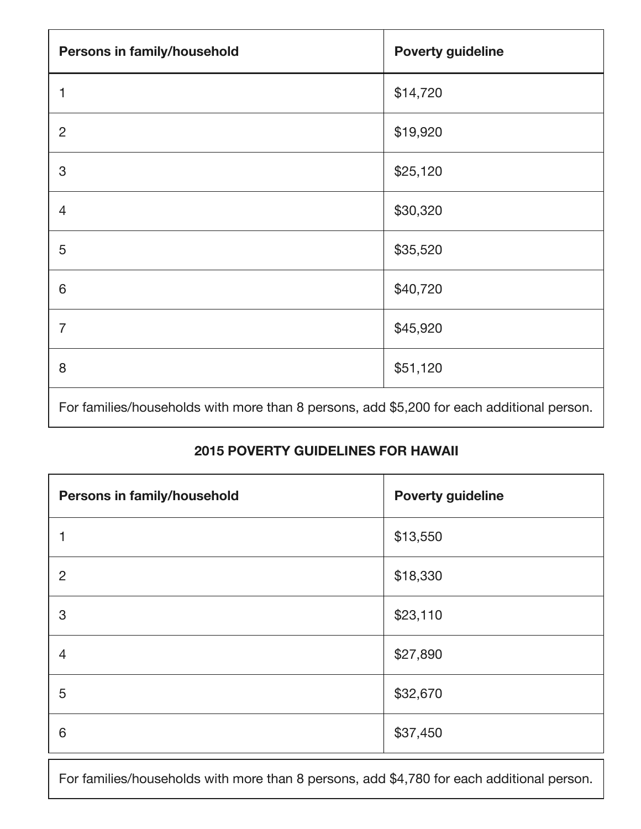| Persons in family/household                                                               | <b>Poverty guideline</b> |
|-------------------------------------------------------------------------------------------|--------------------------|
|                                                                                           | \$14,720                 |
| $\overline{2}$                                                                            | \$19,920                 |
| 3                                                                                         | \$25,120                 |
| 4                                                                                         | \$30,320                 |
| 5                                                                                         | \$35,520                 |
| 6                                                                                         | \$40,720                 |
| $\overline{7}$                                                                            | \$45,920                 |
| 8                                                                                         | \$51,120                 |
| For families/households with more than 8 persons, add \$5,200 for each additional person. |                          |

## **POVERTY GUIDELINES FOR HAWAII**

| Persons in family/household | <b>Poverty guideline</b> |
|-----------------------------|--------------------------|
|                             | \$13,550                 |
| 2                           | \$18,330                 |
| 3                           | \$23,110                 |
| 4                           | \$27,890                 |
| 5                           | \$32,670                 |
| 6                           | \$37,450                 |

For families/households with more than 8 persons, add \$4,780 for each additional person.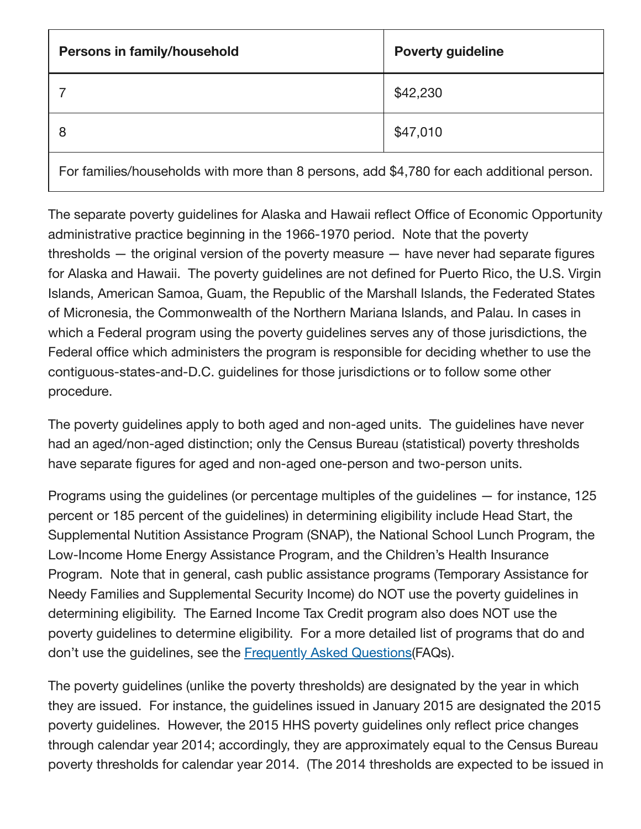| Persons in family/household                                                               | <b>Poverty guideline</b> |
|-------------------------------------------------------------------------------------------|--------------------------|
|                                                                                           | \$42,230                 |
| 8                                                                                         | \$47,010                 |
| For families/households with more than 8 persons, add \$4,780 for each additional person. |                          |

The separate poverty guidelines for Alaska and Hawaii reflect Office of Economic Opportunity administrative practice beginning in the 1966-1970 period. Note that the poverty thresholds — the original version of the poverty measure — have never had separate figures for Alaska and Hawaii. The poverty guidelines are not defined for Puerto Rico, the U.S. Virgin Islands, American Samoa, Guam, the Republic of the Marshall Islands, the Federated States of Micronesia, the Commonwealth of the Northern Mariana Islands, and Palau. In cases in which a Federal program using the poverty guidelines serves any of those jurisdictions, the Federal office which administers the program is responsible for deciding whether to use the contiguous-states-and-D.C. guidelines for those jurisdictions or to follow some other procedure.

The poverty guidelines apply to both aged and non-aged units. The guidelines have never had an aged/non-aged distinction; only the Census Bureau (statistical) poverty thresholds have separate figures for aged and non-aged one-person and two-person units.

Programs using the guidelines (or percentage multiples of the guidelines — for instance, 125 percent or 185 percent of the guidelines) in determining eligibility include Head Start, the Supplemental Nutition Assistance Program (SNAP), the National School Lunch Program, the Low-Income Home Energy Assistance Program, and the Children's Health Insurance Program. Note that in general, cash public assistance programs (Temporary Assistance for Needy Families and Supplemental Security Income) do NOT use the poverty guidelines in determining eligibility. The Earned Income Tax Credit program also does NOT use the poverty guidelines to determine eligibility. For a more detailed list of programs that do and don't use the guidelines, see the **[Frequently](https://www.aspe.hhs.gov/frequently-asked-questions-related-poverty-guidelines-and-poverty#programs) Asked Questions** (FAQs).

The poverty guidelines (unlike the poverty thresholds) are designated by the year in which they are issued. For instance, the guidelines issued in January 2015 are designated the 2015 poverty guidelines. However, the 2015 HHS poverty guidelines only reflect price changes through calendar year 2014; accordingly, they are approximately equal to the Census Bureau poverty thresholds for calendar year 2014. (The 2014 thresholds are expected to be issued in